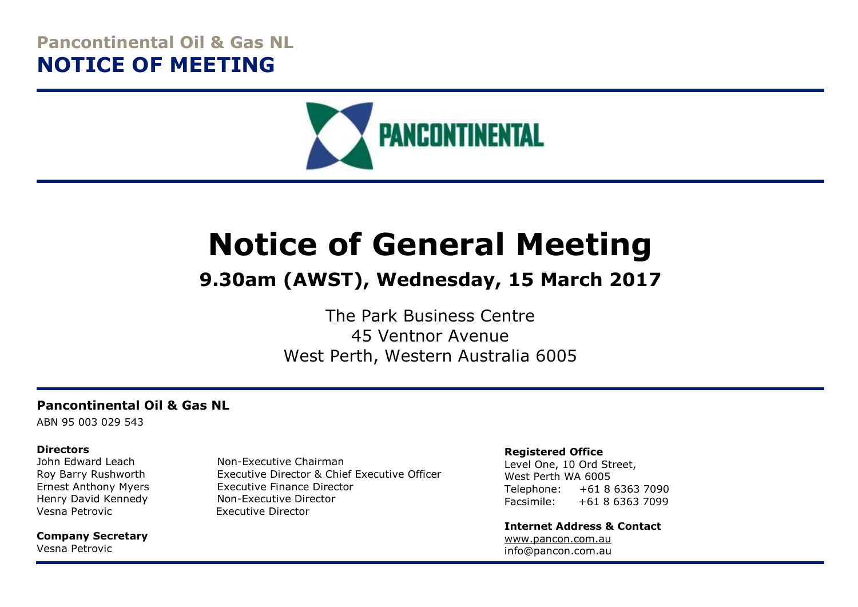# **Pancontinental Oil & Gas NL NOTICE OF MEETING**



# **Notice of General Meeting**

# **9.30am (AWST), Wednesday, 15 March 2017**

The Park Business Centre 45 Ventnor Avenue West Perth, Western Australia 6005

#### **Pancontinental Oil & Gas NL**

ABN 95 003 029 543

#### **Directors**

Henry David Kennedy Non-Executive Director Vesna Petrovic Executive Director

**Company Secretary** Vesna Petrovic

John Edward Leach Non-Executive Chairman Roy Barry Rushworth Executive Director & Chief Executive Officer Ernest Anthony Myers Executive Finance Director

#### **Registered Office**

Level One, 10 Ord Street, West Perth WA 6005 Telephone: +61 8 6363 7090 Facsimile: +61 8 6363 7099

**Internet Address & Contact** [www.pancon.com.au](http://www.pancon.com.au/) info@pancon.com.au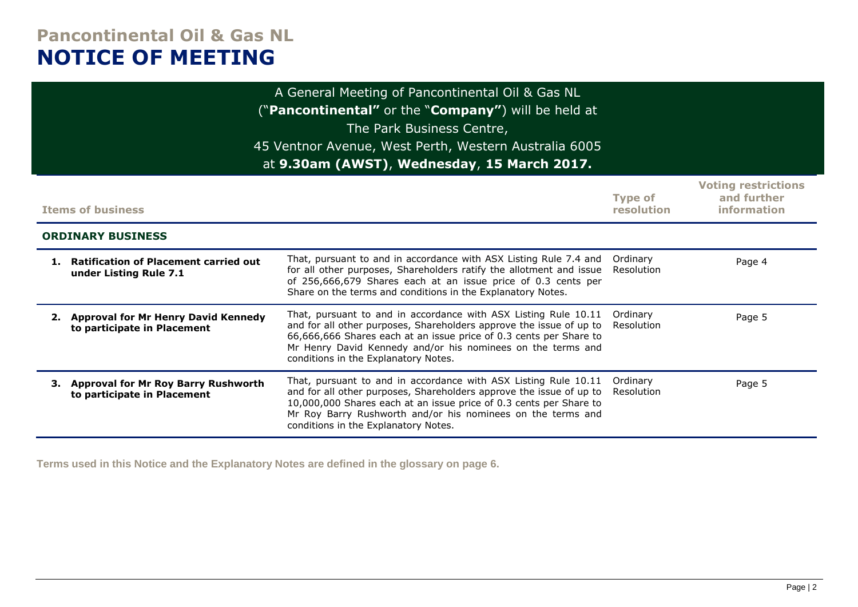# **Pancontinental Oil & Gas NL NOTICE OF MEETING**

| A General Meeting of Pancontinental Oil & Gas NL<br>("Pancontinental" or the "Company") will be held at<br>The Park Business Centre,<br>45 Ventnor Avenue, West Perth, Western Australia 6005<br>at 9.30am (AWST), Wednesday, 15 March 2017. |                                                                                                                                                                                                                                                                                                                     |                              |                                                          |  |  |
|----------------------------------------------------------------------------------------------------------------------------------------------------------------------------------------------------------------------------------------------|---------------------------------------------------------------------------------------------------------------------------------------------------------------------------------------------------------------------------------------------------------------------------------------------------------------------|------------------------------|----------------------------------------------------------|--|--|
| <b>Items of business</b>                                                                                                                                                                                                                     |                                                                                                                                                                                                                                                                                                                     | <b>Type of</b><br>resolution | <b>Voting restrictions</b><br>and further<br>information |  |  |
| <b>ORDINARY BUSINESS</b>                                                                                                                                                                                                                     |                                                                                                                                                                                                                                                                                                                     |                              |                                                          |  |  |
| 1. Ratification of Placement carried out<br>under Listing Rule 7.1                                                                                                                                                                           | That, pursuant to and in accordance with ASX Listing Rule 7.4 and<br>for all other purposes, Shareholders ratify the allotment and issue<br>of 256,666,679 Shares each at an issue price of 0.3 cents per<br>Share on the terms and conditions in the Explanatory Notes.                                            | Ordinary<br>Resolution       | Page 4                                                   |  |  |
| 2. Approval for Mr Henry David Kennedy<br>to participate in Placement                                                                                                                                                                        | That, pursuant to and in accordance with ASX Listing Rule 10.11<br>and for all other purposes, Shareholders approve the issue of up to<br>66,666,666 Shares each at an issue price of 0.3 cents per Share to<br>Mr Henry David Kennedy and/or his nominees on the terms and<br>conditions in the Explanatory Notes. | Ordinary<br>Resolution       | Page 5                                                   |  |  |
| 3. Approval for Mr Roy Barry Rushworth<br>to participate in Placement                                                                                                                                                                        | That, pursuant to and in accordance with ASX Listing Rule 10.11<br>and for all other purposes, Shareholders approve the issue of up to<br>10,000,000 Shares each at an issue price of 0.3 cents per Share to<br>Mr Roy Barry Rushworth and/or his nominees on the terms and<br>conditions in the Explanatory Notes. | Ordinary<br>Resolution       | Page 5                                                   |  |  |

**Terms used in this Notice and the Explanatory Notes are defined in the glossary on page 6.**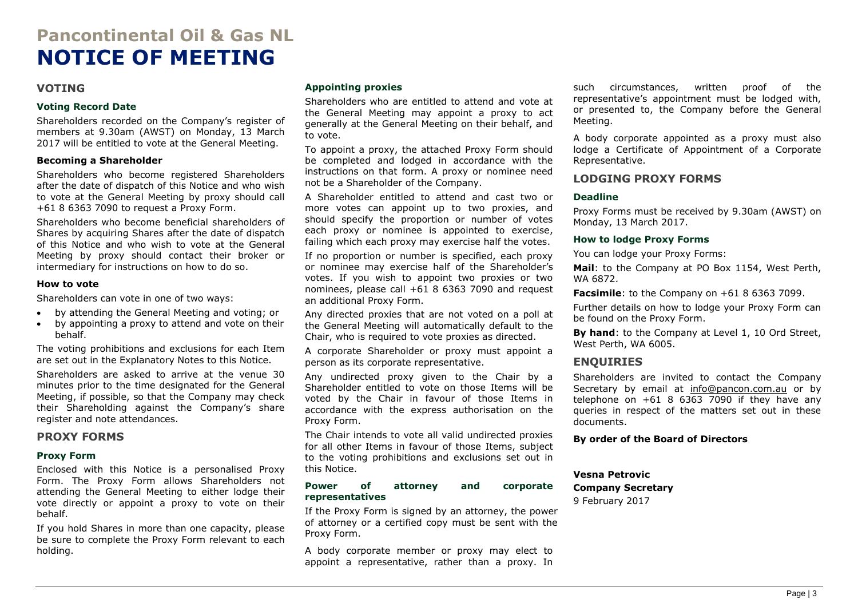# **Pancontinental Oil & Gas NL NOTICE OF MEETING**

#### **VOTING**

#### **Voting Record Date**

Shareholders recorded on the Company's register of members at 9.30am (AWST) on Monday, 13 March 2017 will be entitled to vote at the General Meeting.

#### **Becoming a Shareholder**

Shareholders who become registered Shareholders after the date of dispatch of this Notice and who wish to vote at the General Meeting by proxy should call +61 8 6363 7090 to request a Proxy Form.

Shareholders who become beneficial shareholders of Shares by acquiring Shares after the date of dispatch of this Notice and who wish to vote at the General Meeting by proxy should contact their broker or intermediary for instructions on how to do so.

#### **How to vote**

Shareholders can vote in one of two ways:

- by attending the General Meeting and voting; or
- by appointing a proxy to attend and vote on their behalf.

The voting prohibitions and exclusions for each Item are set out in the Explanatory Notes to this Notice.

Shareholders are asked to arrive at the venue 30 minutes prior to the time designated for the General Meeting, if possible, so that the Company may check their Shareholding against the Company's share register and note attendances.

#### **PROXY FORMS**

#### **Proxy Form**

Enclosed with this Notice is a personalised Proxy Form. The Proxy Form allows Shareholders not attending the General Meeting to either lodge their vote directly or appoint a proxy to vote on their behalf.

If you hold Shares in more than one capacity, please be sure to complete the Proxy Form relevant to each holding.

#### **Appointing proxies**

Shareholders who are entitled to attend and vote at the General Meeting may appoint a proxy to act generally at the General Meeting on their behalf, and to vote.

To appoint a proxy, the attached Proxy Form should be completed and lodged in accordance with the instructions on that form. A proxy or nominee need not be a Shareholder of the Company.

A Shareholder entitled to attend and cast two or more votes can appoint up to two proxies, and should specify the proportion or number of votes each proxy or nominee is appointed to exercise, failing which each proxy may exercise half the votes.

If no proportion or number is specified, each proxy or nominee may exercise half of the Shareholder's votes. If you wish to appoint two proxies or two nominees, please call +61 8 6363 7090 and request an additional Proxy Form.

Any directed proxies that are not voted on a poll at the General Meeting will automatically default to the Chair, who is required to vote proxies as directed.

A corporate Shareholder or proxy must appoint a person as its corporate representative.

Any undirected proxy given to the Chair by a Shareholder entitled to vote on those Items will be voted by the Chair in favour of those Items in accordance with the express authorisation on the Proxy Form.

The Chair intends to vote all valid undirected proxies for all other Items in favour of those Items, subject to the voting prohibitions and exclusions set out in this Notice.

#### **Power of attorney and corporate representatives**

If the Proxy Form is signed by an attorney, the power of attorney or a certified copy must be sent with the Proxy Form.

A body corporate member or proxy may elect to appoint a representative, rather than a proxy. In such circumstances, written proof of the representative's appointment must be lodged with, or presented to, the Company before the General Meeting.

A body corporate appointed as a proxy must also lodge a Certificate of Appointment of a Corporate Representative.

#### **LODGING PROXY FORMS**

#### **Deadline**

Proxy Forms must be received by 9.30am (AWST) on Monday, 13 March 2017.

#### **How to lodge Proxy Forms**

You can lodge your Proxy Forms:

**Mail**: to the Company at PO Box 1154, West Perth, WA 6872.

**Facsimile**: to the Company on +61 8 6363 7099.

Further details on how to lodge your Proxy Form can be found on the Proxy Form.

**By hand**: to the Company at Level 1, 10 Ord Street, West Perth, WA 6005.

#### **ENQUIRIES**

Shareholders are invited to contact the Company Secretary by email at [info@pancon.com.au](mailto:info@pancon.com.au) or by telephone on  $+61$  8 6363 7090 if they have any queries in respect of the matters set out in these documents.

#### **By order of the Board of Directors**

#### **Vesna Petrovic Company Secretary**

9 February 2017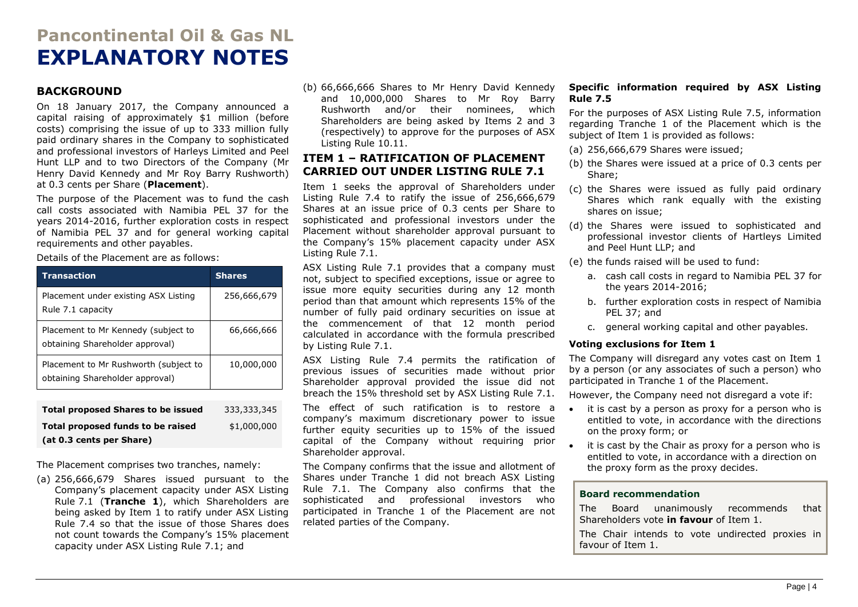# **Pancontinental Oil & Gas NL EXPLANATORY NOTES**

#### **BACKGROUND**

On 18 January 2017, the Company announced a capital raising of approximately \$1 million (before costs) comprising the issue of up to 333 million fully paid ordinary shares in the Company to sophisticated and professional investors of Harleys Limited and Peel Hunt LLP and to two Directors of the Company (Mr Henry David Kennedy and Mr Roy Barry Rushworth) at 0.3 cents per Share (**Placement**).

The purpose of the Placement was to fund the cash call costs associated with Namibia PEL 37 for the years 2014-2016, further exploration costs in respect of Namibia PEL 37 and for general working capital requirements and other payables.

Details of the Placement are as follows:

| <b>Transaction</b>                                                       | <b>Shares</b> |
|--------------------------------------------------------------------------|---------------|
| Placement under existing ASX Listing<br>Rule 7.1 capacity                | 256,666,679   |
| Placement to Mr Kennedy (subject to<br>obtaining Shareholder approval)   | 66,666,666    |
| Placement to Mr Rushworth (subject to<br>obtaining Shareholder approval) | 10,000,000    |
|                                                                          |               |
| <b>Total proposed Shares to be issued</b>                                | 333,333,345   |

| Total Dioposed Shares to be issued | <u>,,,,,,,,,,,,,</u> |
|------------------------------------|----------------------|
| Total proposed funds to be raised  | \$1,000,000          |
| (at 0.3 cents per Share)           |                      |

The Placement comprises two tranches, namely:

(a) 256,666,679 Shares issued pursuant to the Company's placement capacity under ASX Listing Rule 7.1 (**Tranche 1**), which Shareholders are being asked by Item 1 to ratify under ASX Listing Rule 7.4 so that the issue of those Shares does not count towards the Company's 15% placement capacity under ASX Listing Rule 7.1; and

(b) 66,666,666 Shares to Mr Henry David Kennedy and 10,000,000 Shares to Mr Roy Barry Rushworth and/or their nominees, which Shareholders are being asked by Items 2 and 3 (respectively) to approve for the purposes of ASX Listing Rule 10.11.

#### **ITEM 1 – RATIFICATION OF PLACEMENT CARRIED OUT UNDER LISTING RULE 7.1**

Item 1 seeks the approval of Shareholders under Listing Rule 7.4 to ratify the issue of 256,666,679 Shares at an issue price of 0.3 cents per Share to sophisticated and professional investors under the Placement without shareholder approval pursuant to the Company's 15% placement capacity under ASX Listing Rule 7.1.

ASX Listing Rule 7.1 provides that a company must not, subject to specified exceptions, issue or agree to issue more equity securities during any 12 month period than that amount which represents 15% of the number of fully paid ordinary securities on issue at the commencement of that 12 month period calculated in accordance with the formula prescribed by Listing Rule 7.1.

ASX Listing Rule 7.4 permits the ratification of previous issues of securities made without prior Shareholder approval provided the issue did not breach the 15% threshold set by ASX Listing Rule 7.1.

The effect of such ratification is to restore a company's maximum discretionary power to issue further equity securities up to 15% of the issued capital of the Company without requiring prior Shareholder approval.

The Company confirms that the issue and allotment of Shares under Tranche 1 did not breach ASX Listing Rule 7.1. The Company also confirms that the sophisticated and professional investors who participated in Tranche 1 of the Placement are not related parties of the Company.

#### **Specific information required by ASX Listing Rule 7.5**

For the purposes of ASX Listing Rule 7.5, information regarding Tranche 1 of the Placement which is the subject of Item 1 is provided as follows:

- (a) 256,666,679 Shares were issued;
- (b) the Shares were issued at a price of 0.3 cents per Share;
- (c) the Shares were issued as fully paid ordinary Shares which rank equally with the existing shares on issue;
- (d) the Shares were issued to sophisticated and professional investor clients of Hartleys Limited and Peel Hunt LLP; and

(e) the funds raised will be used to fund:

- a. cash call costs in regard to Namibia PEL 37 for the years 2014-2016;
- b. further exploration costs in respect of Namibia PEL 37; and
- c. general working capital and other payables.

#### **Voting exclusions for Item 1**

The Company will disregard any votes cast on Item 1 by a person (or any associates of such a person) who participated in Tranche 1 of the Placement.

However, the Company need not disregard a vote if:

- it is cast by a person as proxy for a person who is entitled to vote, in accordance with the directions on the proxy form; or
- it is cast by the Chair as proxy for a person who is entitled to vote, in accordance with a direction on the proxy form as the proxy decides.

#### **Board recommendation**

The Board unanimously recommends that Shareholders vote **in favour** of Item 1.

The Chair intends to vote undirected proxies in favour of Item 1.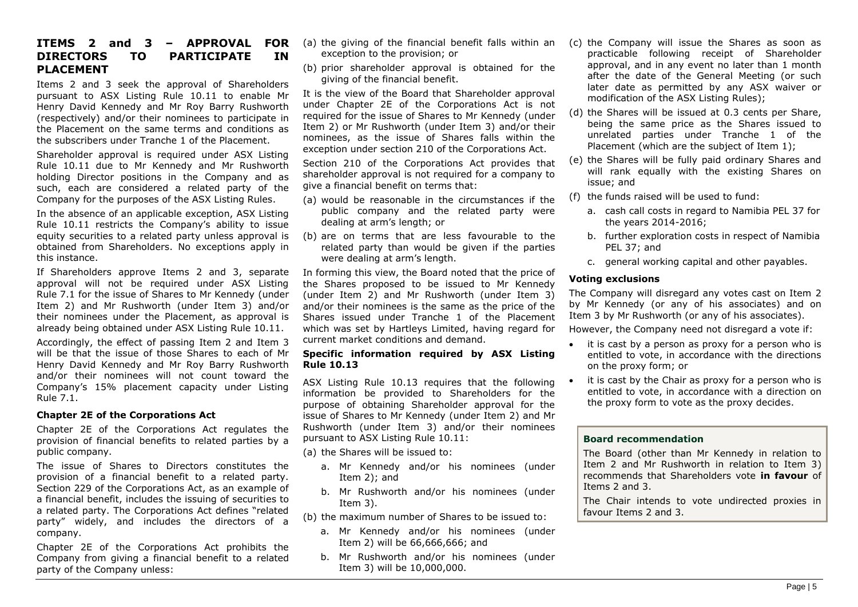### **DIRECTORS TO PARTICIPATE IN PLACEMENT**

Items 2 and 3 seek the approval of Shareholders pursuant to ASX Listing Rule 10.11 to enable Mr Henry David Kennedy and Mr Roy Barry Rushworth (respectively) and/or their nominees to participate in the Placement on the same terms and conditions as the subscribers under Tranche 1 of the Placement.

Shareholder approval is required under ASX Listing Rule 10.11 due to Mr Kennedy and Mr Rushworth holding Director positions in the Company and as such, each are considered a related party of the Company for the purposes of the ASX Listing Rules.

In the absence of an applicable exception, ASX Listing Rule 10.11 restricts the Company's ability to issue equity securities to a related party unless approval is obtained from Shareholders. No exceptions apply in this instance.

If Shareholders approve Items 2 and 3, separate approval will not be required under ASX Listing Rule 7.1 for the issue of Shares to Mr Kennedy (under Item 2) and Mr Rushworth (under Item 3) and/or their nominees under the Placement, as approval is already being obtained under ASX Listing Rule 10.11.

Accordingly, the effect of passing Item 2 and Item 3 will be that the issue of those Shares to each of Mr Henry David Kennedy and Mr Roy Barry Rushworth and/or their nominees will not count toward the Company's 15% placement capacity under Listing Rule 7.1.

#### **Chapter 2E of the Corporations Act**

Chapter 2E of the Corporations Act regulates the provision of financial benefits to related parties by a public company.

The issue of Shares to Directors constitutes the provision of a financial benefit to a related party. Section 229 of the Corporations Act, as an example of a financial benefit, includes the issuing of securities to a related party. The Corporations Act defines "related party" widely, and includes the directors of a company.

Chapter 2E of the Corporations Act prohibits the Company from giving a financial benefit to a related party of the Company unless:

- **ITEMS 2 and 3 – APPROVAL FOR**  (a) the giving of the financial benefit falls within an (c) the Company will issue the Shares as soon as exception to the provision; or
	- (b) prior shareholder approval is obtained for the giving of the financial benefit.

It is the view of the Board that Shareholder approval under Chapter 2E of the Corporations Act is not required for the issue of Shares to Mr Kennedy (under Item 2) or Mr Rushworth (under Item 3) and/or their nominees, as the issue of Shares falls within the exception under section 210 of the Corporations Act.

Section 210 of the Corporations Act provides that shareholder approval is not required for a company to give a financial benefit on terms that:

- (a) would be reasonable in the circumstances if the public company and the related party were dealing at arm's length; or
- (b) are on terms that are less favourable to the related party than would be given if the parties were dealing at arm's length.

In forming this view, the Board noted that the price of the Shares proposed to be issued to Mr Kennedy (under Item 2) and Mr Rushworth (under Item 3) and/or their nominees is the same as the price of the Shares issued under Tranche 1 of the Placement which was set by Hartleys Limited, having regard for current market conditions and demand.

#### **Specific information required by ASX Listing Rule 10.13**

ASX Listing Rule 10.13 requires that the following information be provided to Shareholders for the purpose of obtaining Shareholder approval for the issue of Shares to Mr Kennedy (under Item 2) and Mr Rushworth (under Item 3) and/or their nominees pursuant to ASX Listing Rule 10.11:

(a) the Shares will be issued to:

- a. Mr Kennedy and/or his nominees (under Item 2); and
- b. Mr Rushworth and/or his nominees (under Item 3).
- (b) the maximum number of Shares to be issued to:
	- a. Mr Kennedy and/or his nominees (under Item 2) will be 66,666,666; and
	- b. Mr Rushworth and/or his nominees (under Item 3) will be 10,000,000.
- practicable following receipt of Shareholder approval, and in any event no later than 1 month after the date of the General Meeting (or such later date as permitted by any ASX waiver or modification of the ASX Listing Rules);
- (d) the Shares will be issued at 0.3 cents per Share, being the same price as the Shares issued to unrelated parties under Tranche 1 of the Placement (which are the subject of Item 1);
- (e) the Shares will be fully paid ordinary Shares and will rank equally with the existing Shares on issue; and
- (f) the funds raised will be used to fund:
	- a. cash call costs in regard to Namibia PEL 37 for the years 2014-2016;
	- b. further exploration costs in respect of Namibia PEL 37; and
	- c. general working capital and other payables.

#### **Voting exclusions**

The Company will disregard any votes cast on Item 2 by Mr Kennedy (or any of his associates) and on Item 3 by Mr Rushworth (or any of his associates).

However, the Company need not disregard a vote if:

- it is cast by a person as proxy for a person who is entitled to vote, in accordance with the directions on the proxy form; or
- it is cast by the Chair as proxy for a person who is entitled to vote, in accordance with a direction on the proxy form to vote as the proxy decides.

#### **Board recommendation**

The Board (other than Mr Kennedy in relation to Item 2 and Mr Rushworth in relation to Item 3) recommends that Shareholders vote **in favour** of Items 2 and 3.

The Chair intends to vote undirected proxies in favour Items 2 and 3.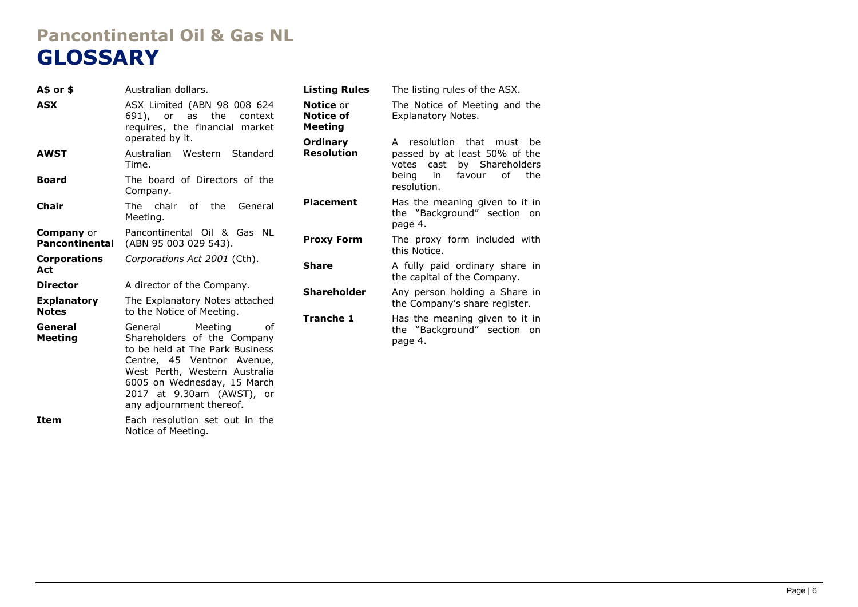# **Pancontinental Oil & Gas NL GLOSSARY**

| $A$$ or \$                                            | Australian dollars.                                                                                                                                                                                                   | <b>Listing Rules</b>                            | The listing rules of the ASX.                                                            |
|-------------------------------------------------------|-----------------------------------------------------------------------------------------------------------------------------------------------------------------------------------------------------------------------|-------------------------------------------------|------------------------------------------------------------------------------------------|
| <b>ASX</b>                                            | ASX Limited (ABN 98 008 624<br>691), or as the<br>context<br>requires, the financial market                                                                                                                           | <b>Notice or</b><br><b>Notice of</b><br>Meeting | The Notice of Meeting and the<br>Explanatory Notes.                                      |
| <b>AWST</b>                                           | operated by it.<br>Australian Western<br>Standard<br>Time.                                                                                                                                                            | Ordinary<br><b>Resolution</b>                   | A resolution that must be<br>passed by at least 50% of the<br>votes cast by Shareholders |
| <b>Board</b>                                          | The board of Directors of the<br>Company.                                                                                                                                                                             |                                                 | in<br>favour<br>of<br>being<br>the<br>resolution.                                        |
| <b>Chair</b>                                          | The chair<br>of the<br>General<br>Meeting.                                                                                                                                                                            | <b>Placement</b>                                | Has the meaning given to it in<br>the "Background" section on<br>page 4.                 |
| <b>Company</b> or<br><b>Pancontinental</b>            | Pancontinental Oil & Gas NL<br>(ABN 95 003 029 543).                                                                                                                                                                  | <b>Proxy Form</b>                               | The proxy form included with<br>this Notice.                                             |
| <b>Corporations</b><br>Act                            | Corporations Act 2001 (Cth).                                                                                                                                                                                          | <b>Share</b>                                    | A fully paid ordinary share in<br>the capital of the Company.                            |
| <b>Director</b><br><b>Explanatory</b><br><b>Notes</b> | A director of the Company.<br>The Explanatory Notes attached<br>to the Notice of Meeting.                                                                                                                             | <b>Shareholder</b>                              | Any person holding a Share in<br>the Company's share register.                           |
| General<br><b>Meeting</b>                             | Meeting<br>General<br>οf<br>Shareholders of the Company<br>to be held at The Park Business<br>Centre, 45 Ventnor Avenue,<br>West Perth, Western Australia<br>6005 on Wednesday, 15 March<br>2017 at 9.30am (AWST), or | <b>Tranche 1</b>                                | Has the meaning given to it in<br>the "Background" section on<br>page 4.                 |

any adjournment thereof. **Item** Each resolution set out in the Notice of Meeting.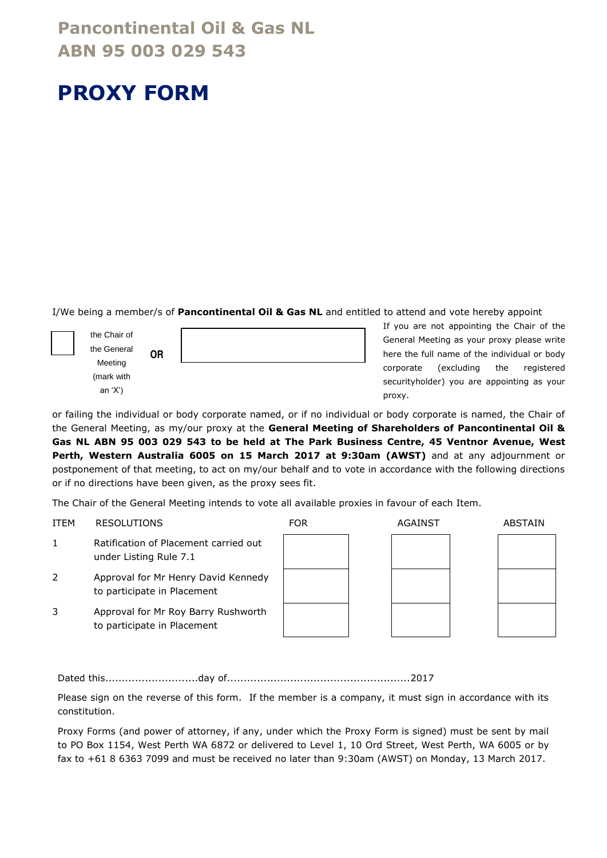### **Pancontinental Oil & Gas NL ABN 95 003 029 543**

# **PROXY FORM**

I/We being a member/s of **Pancontinental Oil & Gas NL** and entitled to attend and vote hereby appoint

the Chair of the General Meeting (mark with an 'X')

| <b>OR</b> |  |
|-----------|--|
|           |  |

If you are not appointing the Chair of the General Meeting as your proxy please write here the full name of the individual or body corporate (excluding the registered securityholder) you are appointing as your proxy.

or failing the individual or body corporate named, or if no individual or body corporate is named, the Chair of the General Meeting, as my/our proxy at the **General Meeting of Shareholders of Pancontinental Oil & Gas NL ABN 95 003 029 543 to be held at The Park Business Centre, 45 Ventnor Avenue, West Perth, Western Australia 6005 on 15 March 2017 at 9:30am (AWST)** and at any adjournment or postponement of that meeting, to act on my/our behalf and to vote in accordance with the following directions or if no directions have been given, as the proxy sees fit.

The Chair of the General Meeting intends to vote all available proxies in favour of each Item.

| <b>ITEM</b> | <b>RESOLUTIONS</b>                                                 | <b>FOR</b> | AGAINST | <b>ABSTAIN</b> |
|-------------|--------------------------------------------------------------------|------------|---------|----------------|
| 1           | Ratification of Placement carried out<br>under Listing Rule 7.1    |            |         |                |
| 2           | Approval for Mr Henry David Kennedy<br>to participate in Placement |            |         |                |
| 3           | Approval for Mr Roy Barry Rushworth<br>to participate in Placement |            |         |                |
|             |                                                                    |            |         |                |

Dated this............................day of.......................................................2017

Please sign on the reverse of this form. If the member is a company, it must sign in accordance with its constitution.

Proxy Forms (and power of attorney, if any, under which the Proxy Form is signed) must be sent by mail to PO Box 1154, West Perth WA 6872 or delivered to Level 1, 10 Ord Street, West Perth, WA 6005 or by fax to +61 8 6363 7099 and must be received no later than 9:30am (AWST) on Monday, 13 March 2017.